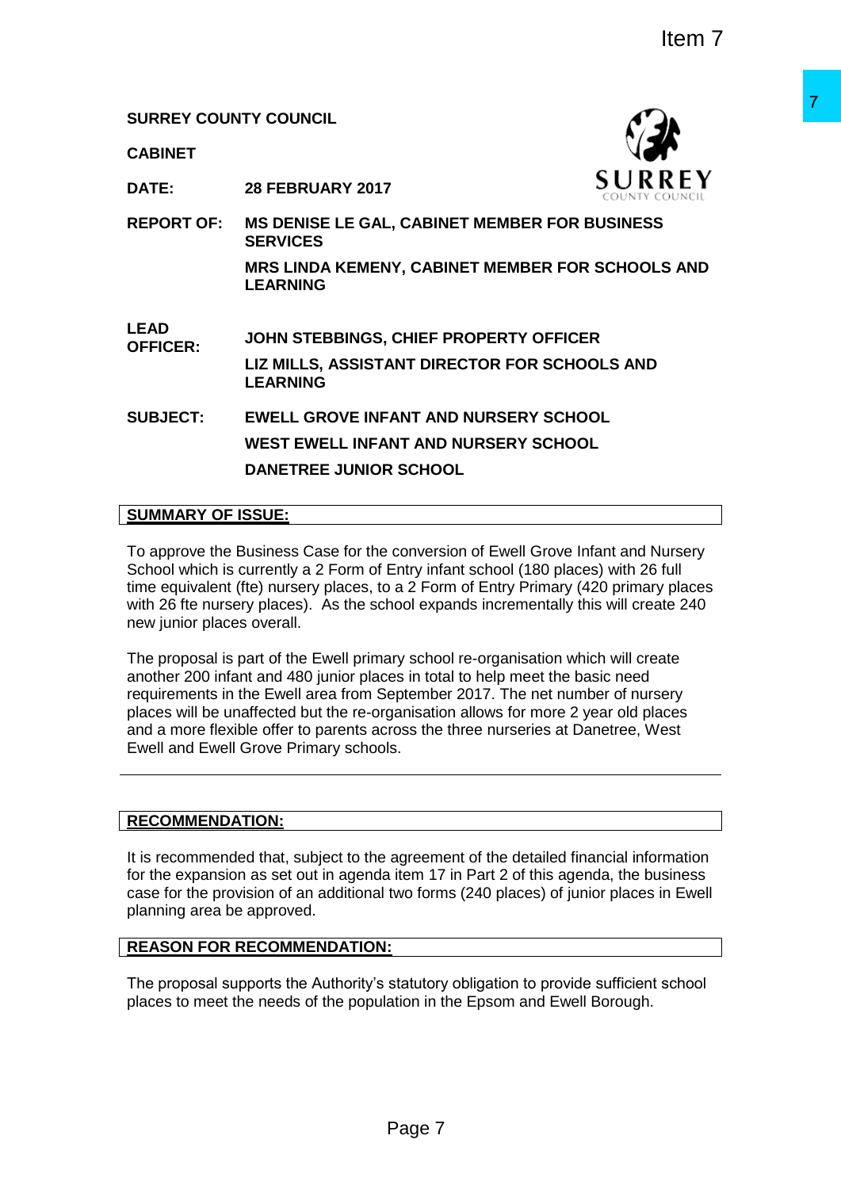**CABINET**



**DATE: 28 FEBRUARY 2017**

**REPORT OF: MS DENISE LE GAL, CABINET MEMBER FOR BUSINESS SERVICES MRS LINDA KEMENY, CABINET MEMBER FOR SCHOOLS AND LEARNING**

**LEAD OFFICER: JOHN STEBBINGS, CHIEF PROPERTY OFFICER LIZ MILLS, ASSISTANT DIRECTOR FOR SCHOOLS AND LEARNING**

**SUBJECT: EWELL GROVE INFANT AND NURSERY SCHOOL WEST EWELL INFANT AND NURSERY SCHOOL DANETREE JUNIOR SCHOOL**

## **SUMMARY OF ISSUE:**

To approve the Business Case for the conversion of Ewell Grove Infant and Nursery School which is currently a 2 Form of Entry infant school (180 places) with 26 full time equivalent (fte) nursery places, to a 2 Form of Entry Primary (420 primary places with 26 fte nursery places). As the school expands incrementally this will create 240 new junior places overall.

The proposal is part of the Ewell primary school re-organisation which will create another 200 infant and 480 junior places in total to help meet the basic need requirements in the Ewell area from September 2017. The net number of nursery places will be unaffected but the re-organisation allows for more 2 year old places and a more flexible offer to parents across the three nurseries at Danetree, West Ewell and Ewell Grove Primary schools. THE SURFACE THE SURFACE THE SURFACE THE SURFACE THE SURFACE THE FROM BUSINESS<br>
THE CABINET MEMBER FOR BUSINESS<br>
CHIEF PROPERTY OFFICER<br>
ANT AND NURSERY SCHOOL S AND<br>
CHIEF PROPERTY OFFICER<br>
ANT AND NURSERY SCHOOL<br>
THE AND

## **RECOMMENDATION:**

It is recommended that, subject to the agreement of the detailed financial information for the expansion as set out in agenda item 17 in Part 2 of this agenda, the business case for the provision of an additional two forms (240 places) of junior places in Ewell planning area be approved.

## **REASON FOR RECOMMENDATION:**

The proposal supports the Authority's statutory obligation to provide sufficient school places to meet the needs of the population in the Epsom and Ewell Borough.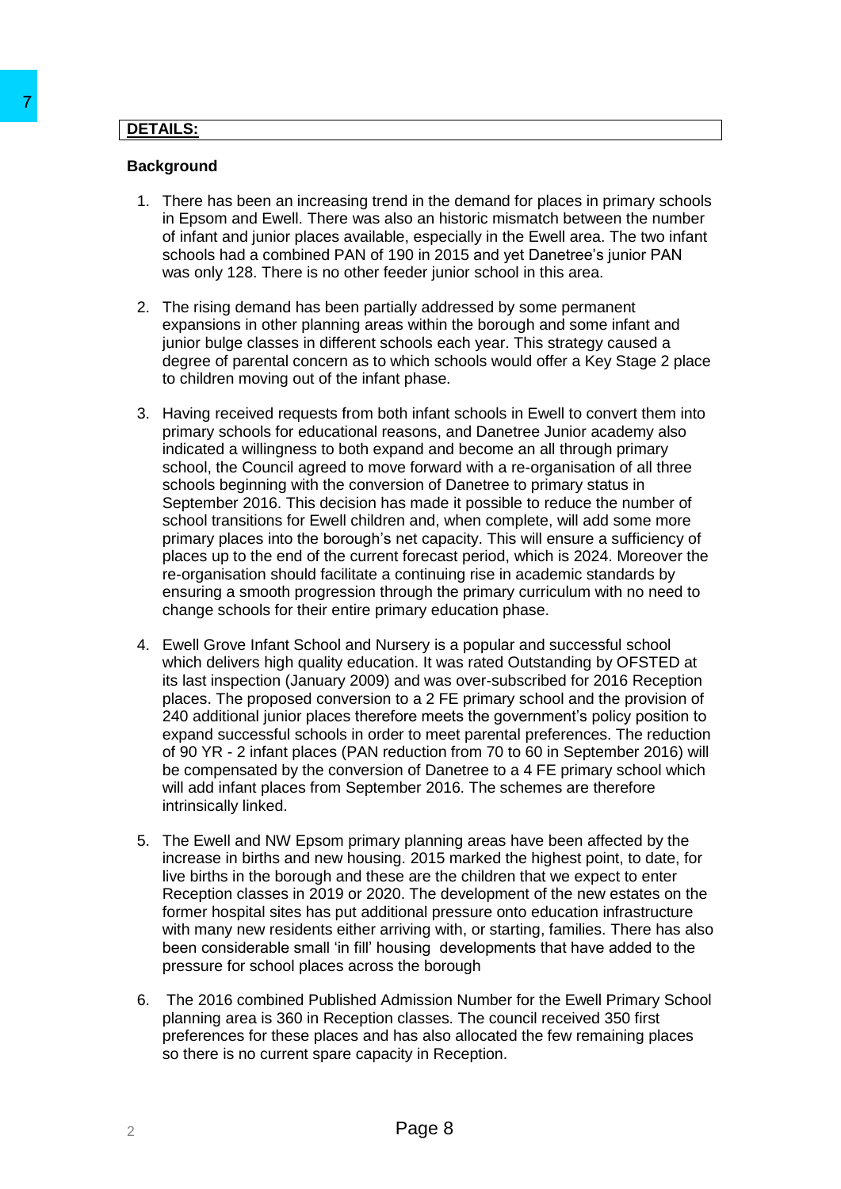# **DETAILS:**

## **Background**

- 1. There has been an increasing trend in the demand for places in primary schools in Epsom and Ewell. There was also an historic mismatch between the number of infant and junior places available, especially in the Ewell area. The two infant schools had a combined PAN of 190 in 2015 and yet Danetree's junior PAN was only 128. There is no other feeder junior school in this area.
- 2. The rising demand has been partially addressed by some permanent expansions in other planning areas within the borough and some infant and junior bulge classes in different schools each year. This strategy caused a degree of parental concern as to which schools would offer a Key Stage 2 place to children moving out of the infant phase.
- 3. Having received requests from both infant schools in Ewell to convert them into primary schools for educational reasons, and Danetree Junior academy also indicated a willingness to both expand and become an all through primary school, the Council agreed to move forward with a re-organisation of all three schools beginning with the conversion of Danetree to primary status in September 2016. This decision has made it possible to reduce the number of school transitions for Ewell children and, when complete, will add some more primary places into the borough's net capacity. This will ensure a sufficiency of places up to the end of the current forecast period, which is 2024. Moreover the re-organisation should facilitate a continuing rise in academic standards by ensuring a smooth progression through the primary curriculum with no need to change schools for their entire primary education phase. T<br> **EDGALES:**<br>
1. There has been an increasing trend in the<br>
in Epson and Ewell. There was also an his<br>
in the figure has been an increasing trend in the<br>
in Epson and Ewell. There was also an his<br>
corboos had a combined P
	- 4. Ewell Grove Infant School and Nursery is a popular and successful school which delivers high quality education. It was rated Outstanding by OFSTED at its last inspection (January 2009) and was over-subscribed for 2016 Reception places. The proposed conversion to a 2 FE primary school and the provision of 240 additional junior places therefore meets the government's policy position to expand successful schools in order to meet parental preferences. The reduction of 90 YR - 2 infant places (PAN reduction from 70 to 60 in September 2016) will be compensated by the conversion of Danetree to a 4 FE primary school which will add infant places from September 2016. The schemes are therefore intrinsically linked.
	- 5. The Ewell and NW Epsom primary planning areas have been affected by the increase in births and new housing. 2015 marked the highest point, to date, for live births in the borough and these are the children that we expect to enter Reception classes in 2019 or 2020. The development of the new estates on the former hospital sites has put additional pressure onto education infrastructure with many new residents either arriving with, or starting, families. There has also been considerable small 'in fill' housing developments that have added to the pressure for school places across the borough
	- 6. The 2016 combined Published Admission Number for the Ewell Primary School planning area is 360 in Reception classes. The council received 350 first preferences for these places and has also allocated the few remaining places so there is no current spare capacity in Reception.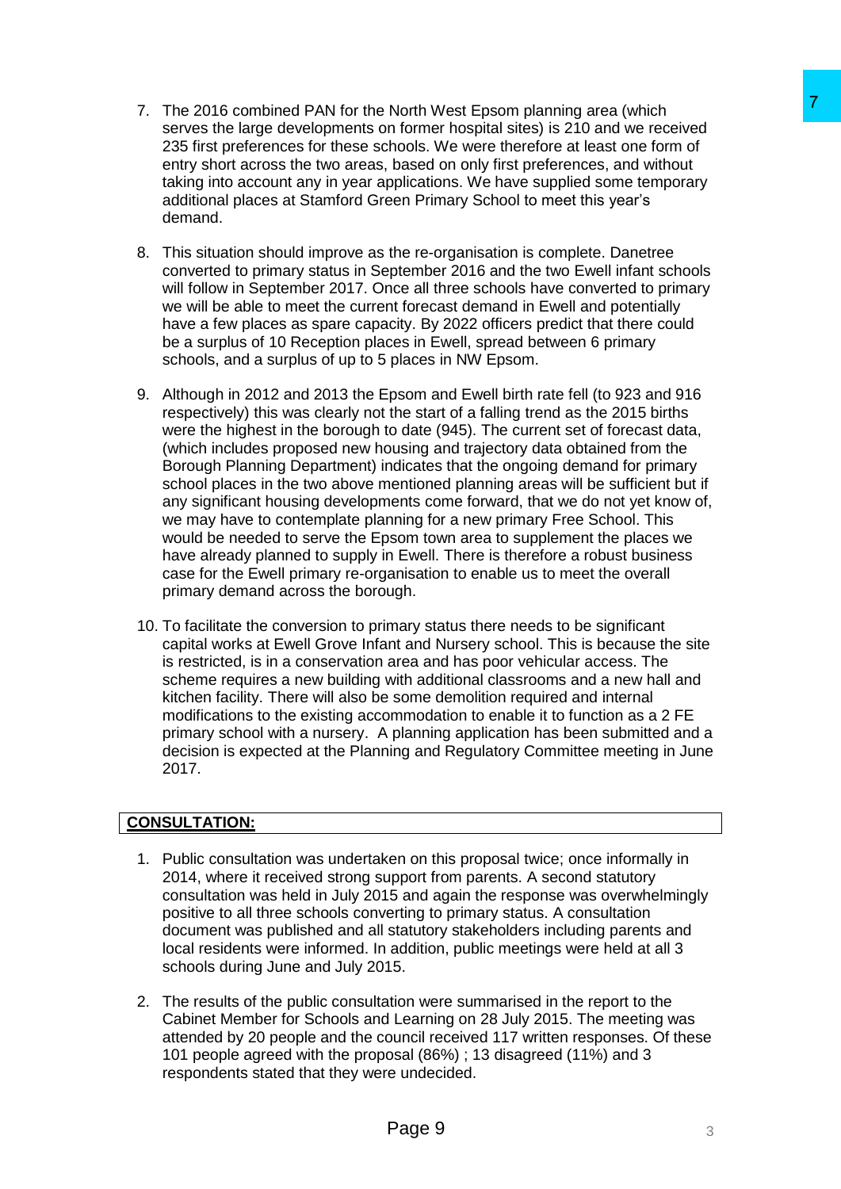- 
- 7. The 2016 combined PAN for the North West Epsom planning area (which serves the large developments on former hospital sites) is 210 and we received 235 first preferences for these schools. We were therefore at least one form of entry short across the two areas, based on only first preferences, and without taking into account any in year applications. We have supplied some temporary additional places at Stamford Green Primary School to meet this year's demand.
- 8. This situation should improve as the re-organisation is complete. Danetree converted to primary status in September 2016 and the two Ewell infant schools will follow in September 2017. Once all three schools have converted to primary we will be able to meet the current forecast demand in Ewell and potentially have a few places as spare capacity. By 2022 officers predict that there could be a surplus of 10 Reception places in Ewell, spread between 6 primary schools, and a surplus of up to 5 places in NW Epsom.
- 9. Although in 2012 and 2013 the Epsom and Ewell birth rate fell (to 923 and 916 respectively) this was clearly not the start of a falling trend as the 2015 births were the highest in the borough to date (945). The current set of forecast data, (which includes proposed new housing and trajectory data obtained from the Borough Planning Department) indicates that the ongoing demand for primary school places in the two above mentioned planning areas will be sufficient but if any significant housing developments come forward, that we do not yet know of, we may have to contemplate planning for a new primary Free School. This would be needed to serve the Epsom town area to supplement the places we have already planned to supply in Ewell. There is therefore a robust business case for the Ewell primary re-organisation to enable us to meet the overall primary demand across the borough. North West Epsom planning area (which<br>
north was hapen sinke a) is 210 and we recoived<br>
modes We were therefore at least on estimated with<br>
thoses We were therefore at least on estimated<br>
based on only first preferences, a
- 10. To facilitate the conversion to primary status there needs to be significant capital works at Ewell Grove Infant and Nursery school. This is because the site is restricted, is in a conservation area and has poor vehicular access. The scheme requires a new building with additional classrooms and a new hall and kitchen facility. There will also be some demolition required and internal modifications to the existing accommodation to enable it to function as a 2 FE primary school with a nursery. A planning application has been submitted and a decision is expected at the Planning and Regulatory Committee meeting in June 2017.

# **CONSULTATION:**

- 1. Public consultation was undertaken on this proposal twice; once informally in 2014, where it received strong support from parents. A second statutory consultation was held in July 2015 and again the response was overwhelmingly positive to all three schools converting to primary status. A consultation document was published and all statutory stakeholders including parents and local residents were informed. In addition, public meetings were held at all 3 schools during June and July 2015.
- 2. The results of the public consultation were summarised in the report to the Cabinet Member for Schools and Learning on 28 July 2015. The meeting was attended by 20 people and the council received 117 written responses. Of these 101 people agreed with the proposal (86%) ; 13 disagreed (11%) and 3 respondents stated that they were undecided.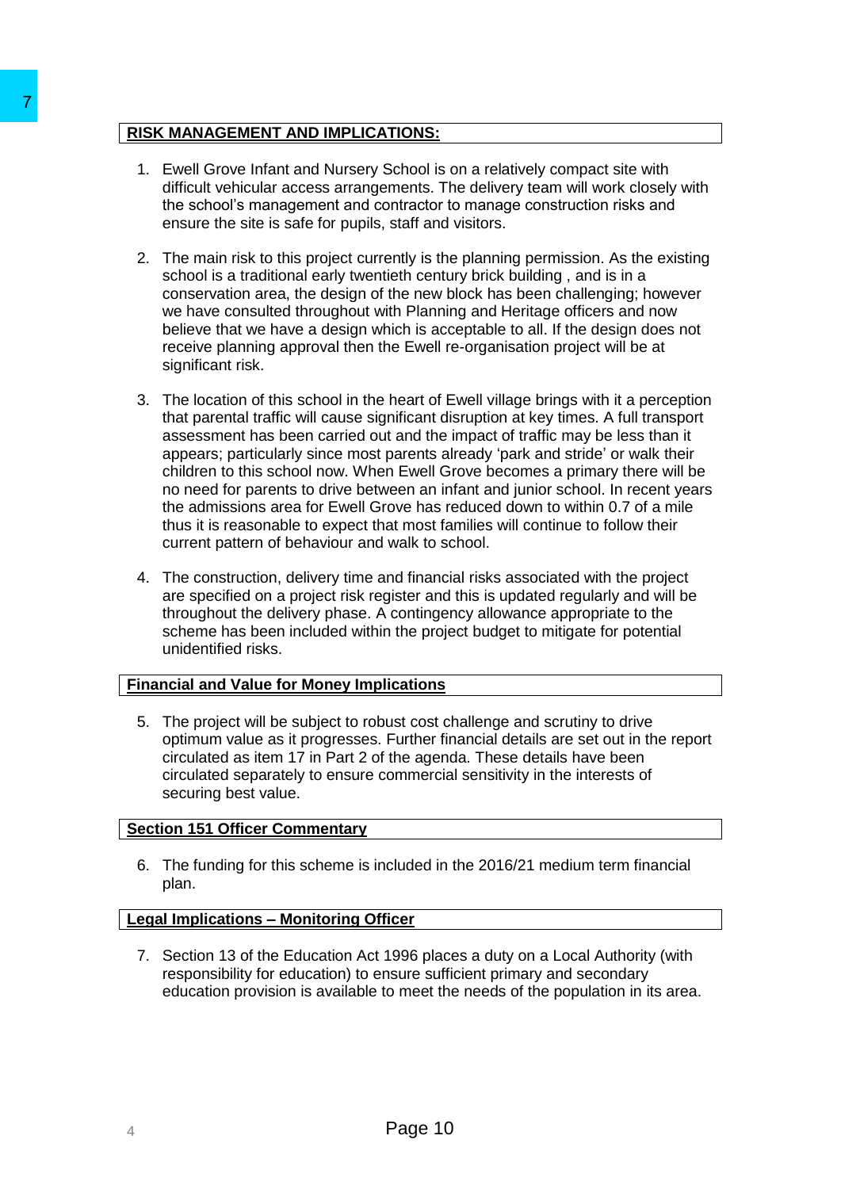## **RISK MANAGEMENT AND IMPLICATIONS:**

- 1. Ewell Grove Infant and Nursery School is on a relatively compact site with difficult vehicular access arrangements. The delivery team will work closely with the school's management and contractor to manage construction risks and ensure the site is safe for pupils, staff and visitors.
- 2. The main risk to this project currently is the planning permission. As the existing school is a traditional early twentieth century brick building , and is in a conservation area, the design of the new block has been challenging; however we have consulted throughout with Planning and Heritage officers and now believe that we have a design which is acceptable to all. If the design does not receive planning approval then the Ewell re-organisation project will be at significant risk.
- 3. The location of this school in the heart of Ewell village brings with it a perception that parental traffic will cause significant disruption at key times. A full transport assessment has been carried out and the impact of traffic may be less than it appears; particularly since most parents already 'park and stride' or walk their children to this school now. When Ewell Grove becomes a primary there will be no need for parents to drive between an infant and junior school. In recent years the admissions area for Ewell Grove has reduced down to within 0.7 of a mile thus it is reasonable to expect that most families will continue to follow their current pattern of behaviour and walk to school. To EXERCT THE THE CALICATIONS:<br>
1. Ewall Grove Infant and Nursary School is difficult vehicular access are<br>argements. The difficult vehicular access are argements. The school is difficult vehicular access are<br>argements an
	- 4. The construction, delivery time and financial risks associated with the project are specified on a project risk register and this is updated regularly and will be throughout the delivery phase. A contingency allowance appropriate to the scheme has been included within the project budget to mitigate for potential unidentified risks.

# **Financial and Value for Money Implications**

5. The project will be subject to robust cost challenge and scrutiny to drive optimum value as it progresses. Further financial details are set out in the report circulated as item 17 in Part 2 of the agenda. These details have been circulated separately to ensure commercial sensitivity in the interests of securing best value.

## **Section 151 Officer Commentary**

6. The funding for this scheme is included in the 2016/21 medium term financial plan.

# **Legal Implications – Monitoring Officer**

7. Section 13 of the Education Act 1996 places a duty on a Local Authority (with responsibility for education) to ensure sufficient primary and secondary education provision is available to meet the needs of the population in its area.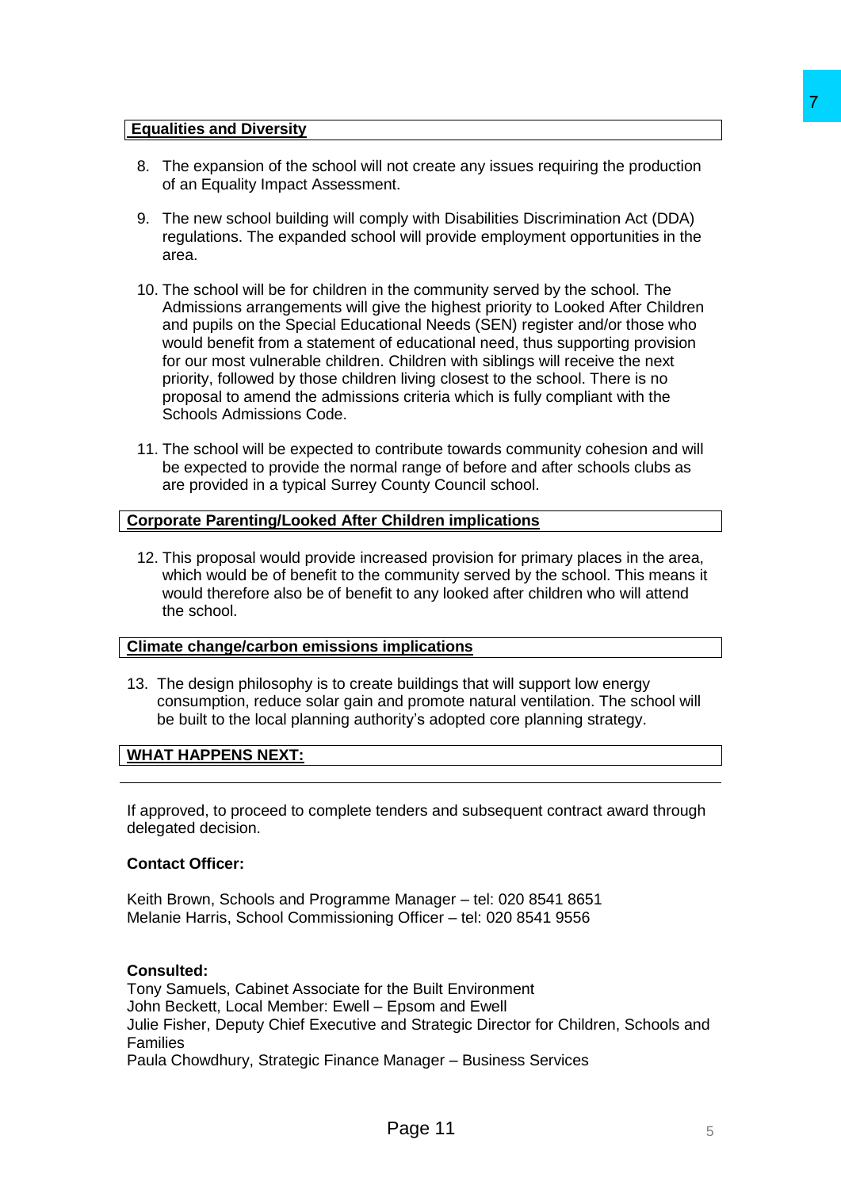## **Equalities and Diversity**

- 8. The expansion of the school will not create any issues requiring the production of an Equality Impact Assessment.
- 9. The new school building will comply with Disabilities Discrimination Act (DDA) regulations. The expanded school will provide employment opportunities in the area.
- 10. The school will be for children in the community served by the school. The Admissions arrangements will give the highest priority to Looked After Children and pupils on the Special Educational Needs (SEN) register and/or those who would benefit from a statement of educational need, thus supporting provision for our most vulnerable children. Children with siblings will receive the next priority, followed by those children living closest to the school. There is no proposal to amend the admissions criteria which is fully compliant with the Schools Admissions Code. Transfer any issues requiring the production<br>
The production<br>
The production<br>
The production and the production Act (DDA)<br>
Show the community served by the school. The<br>
the community served by the school. The<br>
the diverse
- 11. The school will be expected to contribute towards community cohesion and will be expected to provide the normal range of before and after schools clubs as are provided in a typical Surrey County Council school.

#### **Corporate Parenting/Looked After Children implications**

12. This proposal would provide increased provision for primary places in the area, which would be of benefit to the community served by the school. This means it would therefore also be of benefit to any looked after children who will attend the school.

#### **Climate change/carbon emissions implications**

13. The design philosophy is to create buildings that will support low energy consumption, reduce solar gain and promote natural ventilation. The school will be built to the local planning authority's adopted core planning strategy.

## **WHAT HAPPENS NEXT:**

If approved, to proceed to complete tenders and subsequent contract award through delegated decision.

#### **Contact Officer:**

Keith Brown, Schools and Programme Manager – tel: 020 8541 8651 Melanie Harris, School Commissioning Officer – tel: 020 8541 9556

#### **Consulted:**

Tony Samuels, Cabinet Associate for the Built Environment John Beckett, Local Member: Ewell – Epsom and Ewell Julie Fisher, Deputy Chief Executive and Strategic Director for Children, Schools and Families Paula Chowdhury, Strategic Finance Manager – Business Services